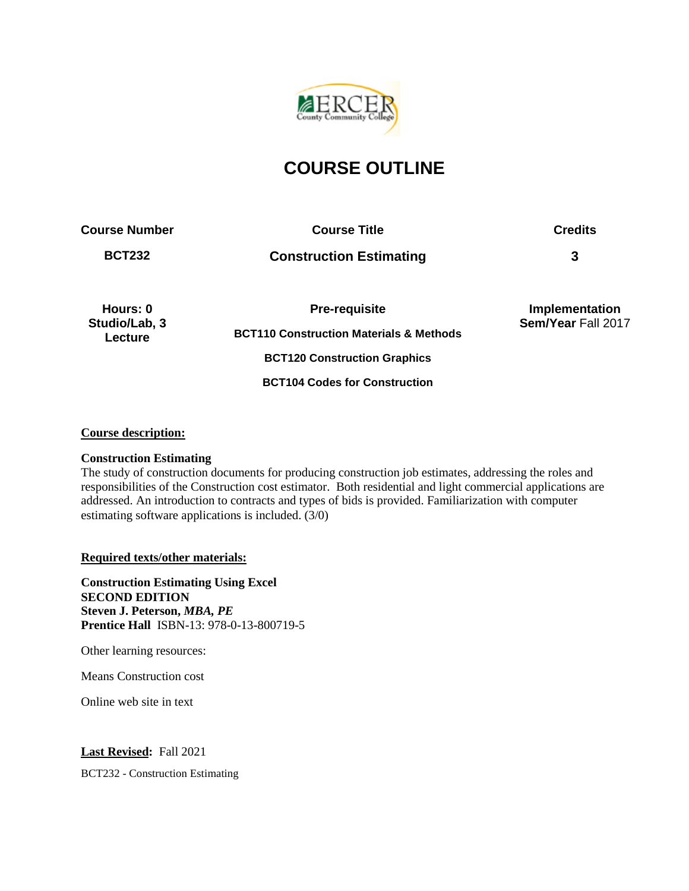

# **COURSE OUTLINE**

**Course Number Course Title Credits**

**BCT232 Construction Estimating 3**

**Hours: 0 Studio/Lab, 3 Lecture**

**Pre-requisite BCT110 Construction Materials & Methods BCT120 Construction Graphics BCT104 Codes for Construction**

**Implementation Sem/Year** Fall 2017

## **Course description:**

#### **Construction Estimating**

The study of construction documents for producing construction job estimates, addressing the roles and responsibilities of the Construction cost estimator. Both residential and light commercial applications are addressed. An introduction to contracts and types of bids is provided. Familiarization with computer estimating software applications is included. (3/0)

**Required texts/other materials:** 

**Construction Estimating Using Excel SECOND EDITION Steven J. Peterson,** *MBA, PE* **Prentice Hall** ISBN-13: 978-0-13-800719-5

Other learning resources:

Means Construction cost

Online web site in text

**Last Revised:** Fall 2021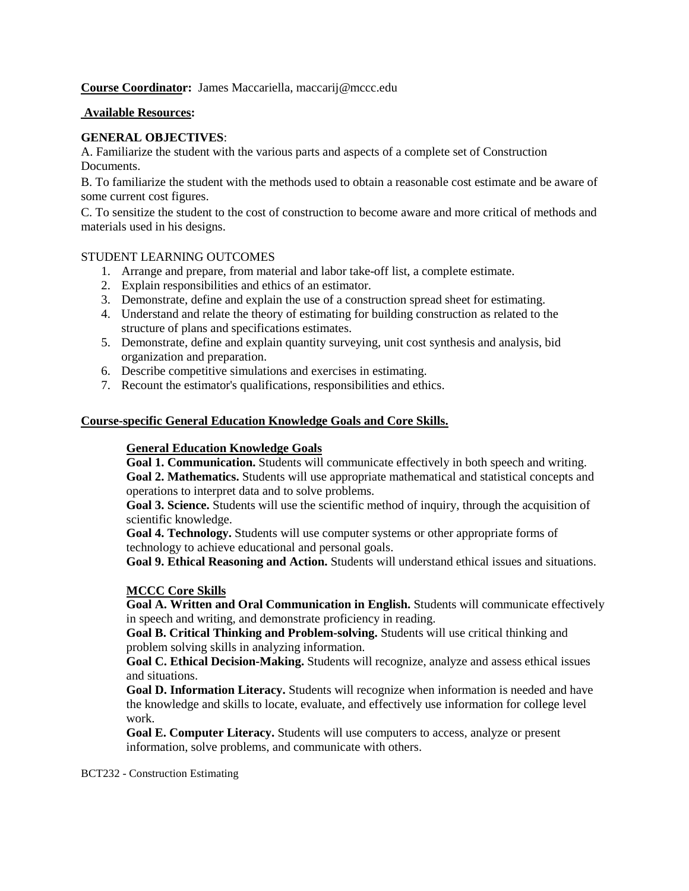**Course Coordinator:** James Maccariella, maccarij@mccc.edu

#### **Available Resources:**

#### **GENERAL OBJECTIVES**:

A. Familiarize the student with the various parts and aspects of a complete set of Construction Documents.

B. To familiarize the student with the methods used to obtain a reasonable cost estimate and be aware of some current cost figures.

C. To sensitize the student to the cost of construction to become aware and more critical of methods and materials used in his designs.

#### STUDENT LEARNING OUTCOMES

- 1. Arrange and prepare, from material and labor take-off list, a complete estimate.
- 2. Explain responsibilities and ethics of an estimator.
- 3. Demonstrate, define and explain the use of a construction spread sheet for estimating.
- 4. Understand and relate the theory of estimating for building construction as related to the structure of plans and specifications estimates.
- 5. Demonstrate, define and explain quantity surveying, unit cost synthesis and analysis, bid organization and preparation.
- 6. Describe competitive simulations and exercises in estimating.
- 7. Recount the estimator's qualifications, responsibilities and ethics.

#### **Course-specific General Education Knowledge Goals and Core Skills.**

#### **General Education Knowledge Goals**

**Goal 1. Communication.** Students will communicate effectively in both speech and writing. **Goal 2. Mathematics.** Students will use appropriate mathematical and statistical concepts and operations to interpret data and to solve problems.

**Goal 3. Science.** Students will use the scientific method of inquiry, through the acquisition of scientific knowledge.

**Goal 4. Technology.** Students will use computer systems or other appropriate forms of technology to achieve educational and personal goals.

**Goal 9. Ethical Reasoning and Action.** Students will understand ethical issues and situations.

#### **MCCC Core Skills**

**Goal A. Written and Oral Communication in English.** Students will communicate effectively in speech and writing, and demonstrate proficiency in reading.

**Goal B. Critical Thinking and Problem-solving.** Students will use critical thinking and problem solving skills in analyzing information.

**Goal C. Ethical Decision-Making.** Students will recognize, analyze and assess ethical issues and situations.

**Goal D. Information Literacy.** Students will recognize when information is needed and have the knowledge and skills to locate, evaluate, and effectively use information for college level work.

**Goal E. Computer Literacy.** Students will use computers to access, analyze or present information, solve problems, and communicate with others.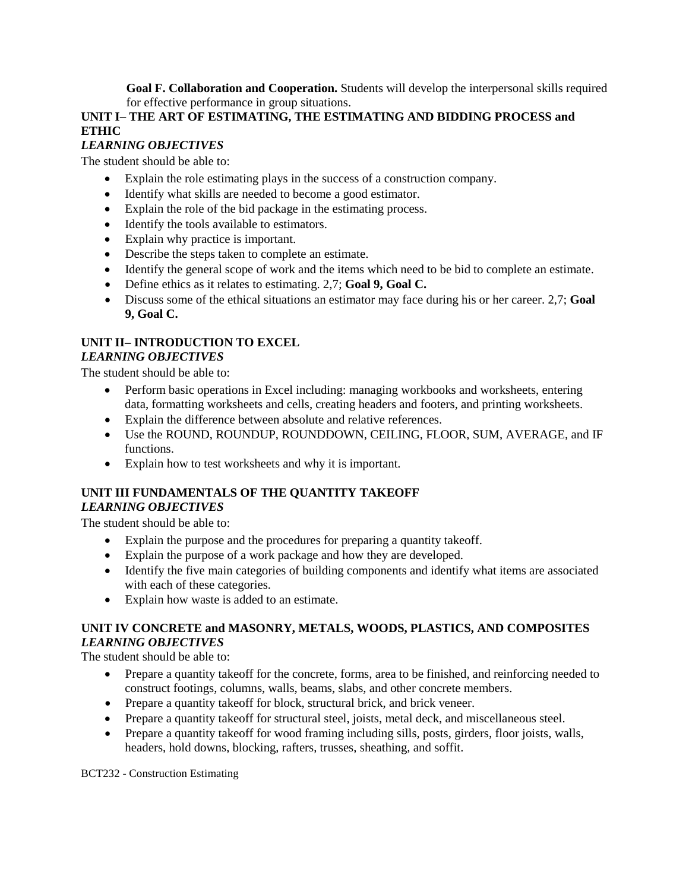**Goal F. Collaboration and Cooperation.** Students will develop the interpersonal skills required for effective performance in group situations.

## **UNIT I– THE ART OF ESTIMATING, THE ESTIMATING AND BIDDING PROCESS and ETHIC**

## *LEARNING OBJECTIVES*

The student should be able to:

- Explain the role estimating plays in the success of a construction company.
- Identify what skills are needed to become a good estimator.
- Explain the role of the bid package in the estimating process.
- Identify the tools available to estimators.
- Explain why practice is important.
- Describe the steps taken to complete an estimate.
- Identify the general scope of work and the items which need to be bid to complete an estimate.
- Define ethics as it relates to estimating. 2,7; **Goal 9, Goal C.**
- Discuss some of the ethical situations an estimator may face during his or her career. 2,7; **Goal 9, Goal C.**

## **UNIT II– INTRODUCTION TO EXCEL** *LEARNING OBJECTIVES*

The student should be able to:

- Perform basic operations in Excel including: managing workbooks and worksheets, entering data, formatting worksheets and cells, creating headers and footers, and printing worksheets.
- Explain the difference between absolute and relative references.
- Use the ROUND, ROUNDUP, ROUNDDOWN, CEILING, FLOOR, SUM, AVERAGE, and IF functions.
- Explain how to test worksheets and why it is important.

## **UNIT III FUNDAMENTALS OF THE QUANTITY TAKEOFF** *LEARNING OBJECTIVES*

The student should be able to:

- Explain the purpose and the procedures for preparing a quantity takeoff.
- Explain the purpose of a work package and how they are developed.
- Identify the five main categories of building components and identify what items are associated with each of these categories.
- Explain how waste is added to an estimate.

# **UNIT IV CONCRETE and MASONRY, METALS, WOODS, PLASTICS, AND COMPOSITES** *LEARNING OBJECTIVES*

The student should be able to:

- Prepare a quantity takeoff for the concrete, forms, area to be finished, and reinforcing needed to construct footings, columns, walls, beams, slabs, and other concrete members.
- Prepare a quantity take of f for block, structural brick, and brick veneer.
- Prepare a quantity takeoff for structural steel, joists, metal deck, and miscellaneous steel.
- Prepare a quantity takeoff for wood framing including sills, posts, girders, floor joists, walls, headers, hold downs, blocking, rafters, trusses, sheathing, and soffit.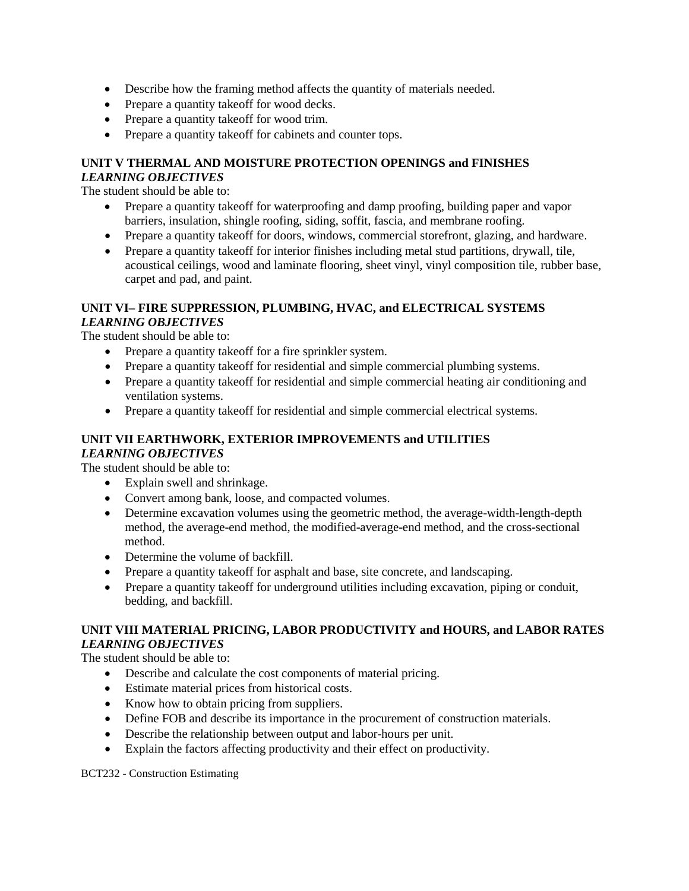- Describe how the framing method affects the quantity of materials needed.
- Prepare a quantity takeoff for wood decks.
- Prepare a quantity take of for wood trim.
- Prepare a quantity takeoff for cabinets and counter tops.

#### **UNIT V THERMAL AND MOISTURE PROTECTION OPENINGS and FINISHES** *LEARNING OBJECTIVES*

The student should be able to:

- Prepare a quantity takeoff for waterproofing and damp proofing, building paper and vapor barriers, insulation, shingle roofing, siding, soffit, fascia, and membrane roofing.
- Prepare a quantity takeoff for doors, windows, commercial storefront, glazing, and hardware.
- Prepare a quantity takeoff for interior finishes including metal stud partitions, drywall, tile, acoustical ceilings, wood and laminate flooring, sheet vinyl, vinyl composition tile, rubber base, carpet and pad, and paint.

#### **UNIT VI– FIRE SUPPRESSION, PLUMBING, HVAC, and ELECTRICAL SYSTEMS** *LEARNING OBJECTIVES*

The student should be able to:

- Prepare a quantity take of f for a fire sprinkler system.
- Prepare a quantity takeoff for residential and simple commercial plumbing systems.
- Prepare a quantity takeoff for residential and simple commercial heating air conditioning and ventilation systems.
- Prepare a quantity takeoff for residential and simple commercial electrical systems.

#### **UNIT VII EARTHWORK, EXTERIOR IMPROVEMENTS and UTILITIES** *LEARNING OBJECTIVES*

The student should be able to:

- Explain swell and shrinkage.
- Convert among bank, loose, and compacted volumes.
- Determine excavation volumes using the geometric method, the average-width-length-depth method, the average-end method, the modified-average-end method, and the cross-sectional method.
- Determine the volume of backfill.
- Prepare a quantity takeoff for asphalt and base, site concrete, and landscaping.
- Prepare a quantity takeoff for underground utilities including excavation, piping or conduit, bedding, and backfill.

## **UNIT VIII MATERIAL PRICING, LABOR PRODUCTIVITY and HOURS, and LABOR RATES** *LEARNING OBJECTIVES*

The student should be able to:

- Describe and calculate the cost components of material pricing.
- Estimate material prices from historical costs.
- Know how to obtain pricing from suppliers.
- Define FOB and describe its importance in the procurement of construction materials.
- Describe the relationship between output and labor-hours per unit.
- Explain the factors affecting productivity and their effect on productivity.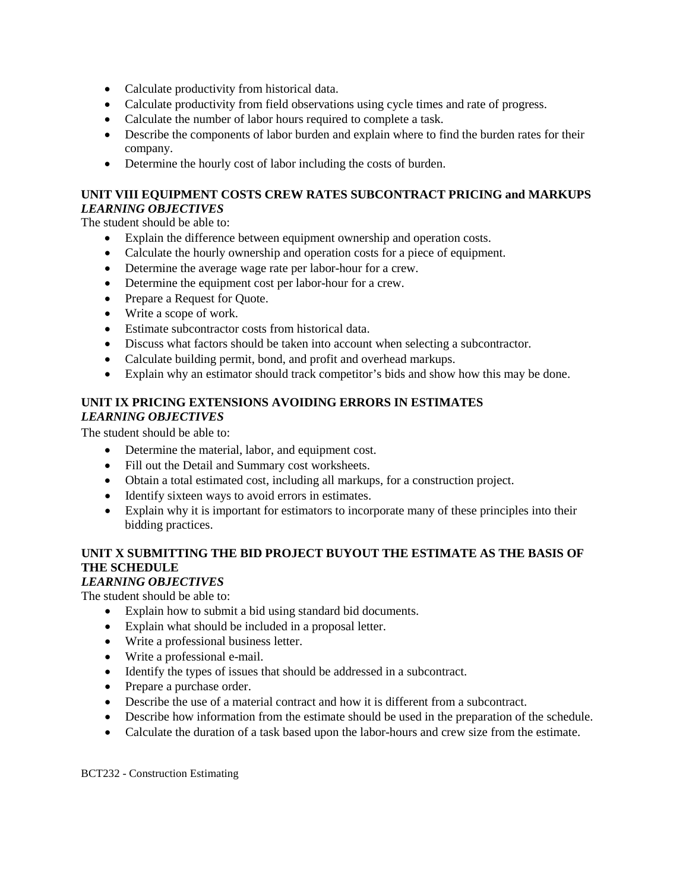- Calculate productivity from historical data.
- Calculate productivity from field observations using cycle times and rate of progress.
- Calculate the number of labor hours required to complete a task.
- Describe the components of labor burden and explain where to find the burden rates for their company.
- Determine the hourly cost of labor including the costs of burden.

## **UNIT VIII EQUIPMENT COSTS CREW RATES SUBCONTRACT PRICING and MARKUPS** *LEARNING OBJECTIVES*

The student should be able to:

- Explain the difference between equipment ownership and operation costs.
- Calculate the hourly ownership and operation costs for a piece of equipment.
- Determine the average wage rate per labor-hour for a crew.
- Determine the equipment cost per labor-hour for a crew.
- Prepare a Request for Quote.
- Write a scope of work.
- Estimate subcontractor costs from historical data.
- Discuss what factors should be taken into account when selecting a subcontractor.
- Calculate building permit, bond, and profit and overhead markups.
- Explain why an estimator should track competitor's bids and show how this may be done.

## **UNIT IX PRICING EXTENSIONS AVOIDING ERRORS IN ESTIMATES** *LEARNING OBJECTIVES*

The student should be able to:

- Determine the material, labor, and equipment cost.
- Fill out the Detail and Summary cost worksheets.
- Obtain a total estimated cost, including all markups, for a construction project.
- Identify sixteen ways to avoid errors in estimates.
- Explain why it is important for estimators to incorporate many of these principles into their bidding practices.

# **UNIT X SUBMITTING THE BID PROJECT BUYOUT THE ESTIMATE AS THE BASIS OF THE SCHEDULE**

## *LEARNING OBJECTIVES*

The student should be able to:

- Explain how to submit a bid using standard bid documents.
- Explain what should be included in a proposal letter.
- Write a professional business letter.
- Write a professional e-mail.
- Identify the types of issues that should be addressed in a subcontract.
- Prepare a purchase order.
- Describe the use of a material contract and how it is different from a subcontract.
- Describe how information from the estimate should be used in the preparation of the schedule.
- Calculate the duration of a task based upon the labor-hours and crew size from the estimate.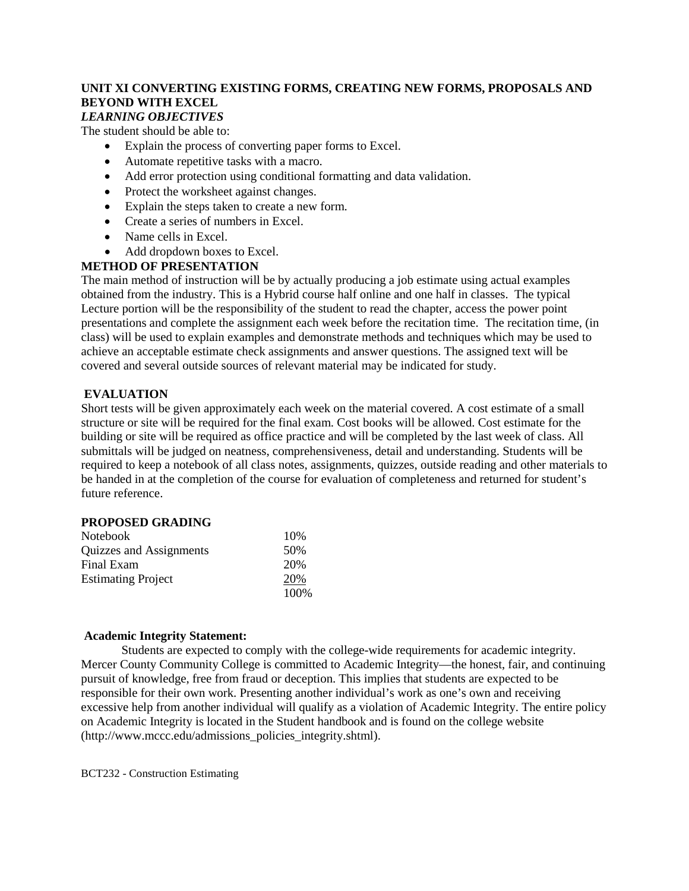# **UNIT XI CONVERTING EXISTING FORMS, CREATING NEW FORMS, PROPOSALS AND BEYOND WITH EXCEL**

# *LEARNING OBJECTIVES*

The student should be able to:

- Explain the process of converting paper forms to Excel.
- Automate repetitive tasks with a macro.
- Add error protection using conditional formatting and data validation.
- Protect the worksheet against changes.
- Explain the steps taken to create a new form.
- Create a series of numbers in Excel.
- Name cells in Excel.
- Add dropdown boxes to Excel.

## **METHOD OF PRESENTATION**

The main method of instruction will be by actually producing a job estimate using actual examples obtained from the industry. This is a Hybrid course half online and one half in classes. The typical Lecture portion will be the responsibility of the student to read the chapter, access the power point presentations and complete the assignment each week before the recitation time. The recitation time, (in class) will be used to explain examples and demonstrate methods and techniques which may be used to achieve an acceptable estimate check assignments and answer questions. The assigned text will be covered and several outside sources of relevant material may be indicated for study.

#### **EVALUATION**

Short tests will be given approximately each week on the material covered. A cost estimate of a small structure or site will be required for the final exam. Cost books will be allowed. Cost estimate for the building or site will be required as office practice and will be completed by the last week of class. All submittals will be judged on neatness, comprehensiveness, detail and understanding. Students will be required to keep a notebook of all class notes, assignments, quizzes, outside reading and other materials to be handed in at the completion of the course for evaluation of completeness and returned for student's future reference.

#### **PROPOSED GRADING**

| <b>Notebook</b>           | 10%   |
|---------------------------|-------|
| Quizzes and Assignments   | 50%   |
| Final Exam                | 20%   |
| <b>Estimating Project</b> | 20%   |
|                           | 100\% |

#### **Academic Integrity Statement:**

Students are expected to comply with the college-wide requirements for academic integrity. Mercer County Community College is committed to Academic Integrity—the honest, fair, and continuing pursuit of knowledge, free from fraud or deception. This implies that students are expected to be responsible for their own work. Presenting another individual's work as one's own and receiving excessive help from another individual will qualify as a violation of Academic Integrity. The entire policy on Academic Integrity is located in the Student handbook and is found on the college website (http://www.mccc.edu/admissions\_policies\_integrity.shtml).